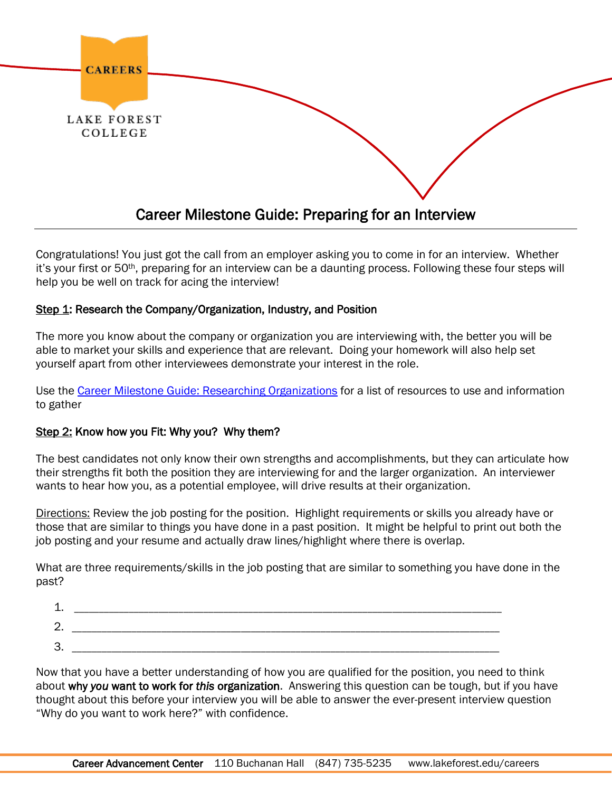

Congratulations! You just got the call from an employer asking you to come in for an interview. Whether it's your first or 50th, preparing for an interview can be a daunting process. Following these four steps will help you be well on track for acing the interview!

## Step 1: Research the Company/Organization, Industry, and Position

The more you know about the company or organization you are interviewing with, the better you will be able to market your skills and experience that are relevant. Doing your homework will also help set yourself apart from other interviewees demonstrate your interest in the role.

Use the [Career Milestone Guide: Researching Organizations](https://www.myinterfase.com/lakeforest/resources/resource_view.aspx?token=KogVyEK5l86zgmpS9f1RGA%3d%3d) for a list of resources to use and information to gather

#### Step 2: Know how you Fit: Why you? Why them?

The best candidates not only know their own strengths and accomplishments, but they can articulate how their strengths fit both the position they are interviewing for and the larger organization. An interviewer wants to hear how you, as a potential employee, will drive results at their organization.

Directions: Review the job posting for the position. Highlight requirements or skills you already have or those that are similar to things you have done in a past position. It might be helpful to print out both the job posting and your resume and actually draw lines/highlight where there is overlap.

What are three requirements/skills in the job posting that are similar to something you have done in the past?

| ◢<br>--       |                                           |
|---------------|-------------------------------------------|
| ⌒<br><u>.</u> | ______<br>_____________<br>________<br>__ |
| ຊ<br>، ب      | _________<br>______<br>___                |

Now that you have a better understanding of how you are qualified for the position, you need to think about why *you* want to work for *this* organization. Answering this question can be tough, but if you have thought about this before your interview you will be able to answer the ever-present interview question "Why do you want to work here?" with confidence.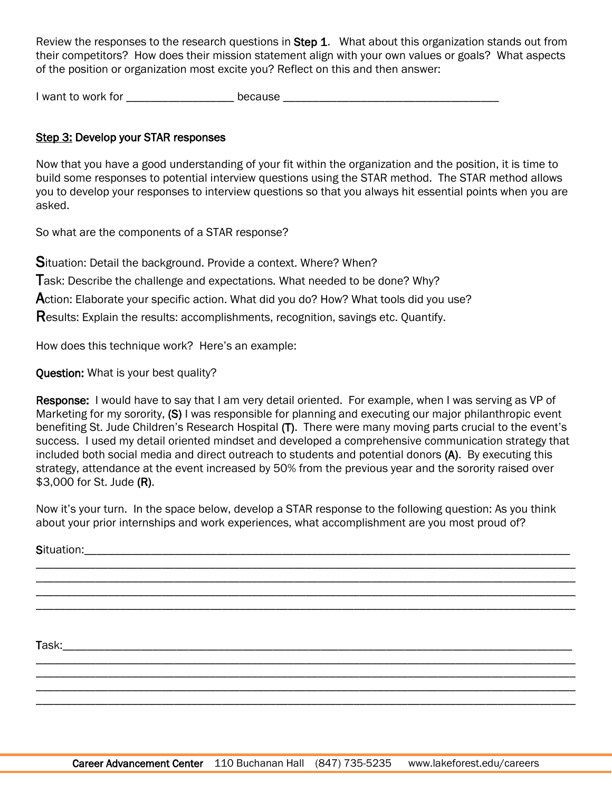Review the responses to the research questions in Step 1. What about this organization stands out from their competitors? How does their mission statement align with your own values or goals? What aspects of the position or organization most excite you? Reflect on this and then answer:

I want to work for \_\_\_\_\_\_\_\_\_\_\_\_\_\_\_\_\_\_\_\_\_\_\_ because \_\_\_\_\_\_\_\_\_\_\_\_\_\_\_\_\_\_\_\_\_\_\_\_\_\_\_\_\_\_

# Step 3: Develop your STAR responses

Now that you have a good understanding of your fit within the organization and the position, it is time to build some responses to potential interview questions using the STAR method. The STAR method allows you to develop your responses to interview questions so that you always hit essential points when you are asked.

So what are the components of a STAR response?

Situation: Detail the background. Provide a context. Where? When?

Task: Describe the challenge and expectations. What needed to be done? Why?

Action: Elaborate your specific action. What did you do? How? What tools did you use?

Results: Explain the results: accomplishments, recognition, savings etc. Quantify.

How does this technique work? Here's an example:

Question: What is your best quality?

Response: I would have to say that I am very detail oriented. For example, when I was serving as VP of Marketing for my sorority, (S) I was responsible for planning and executing our major philanthropic event benefiting St. Jude Children's Research Hospital (T). There were many moving parts crucial to the event's success. I used my detail oriented mindset and developed a comprehensive communication strategy that included both social media and direct outreach to students and potential donors (A). By executing this strategy, attendance at the event increased by 50% from the previous year and the sorority raised over \$3,000 for St. Jude (R).

Now it's your turn. In the space below, develop a STAR response to the following question: As you think about your prior internships and work experiences, what accomplishment are you most proud of?

\_\_\_\_\_\_\_\_\_\_\_\_\_\_\_\_\_\_\_\_\_\_\_\_\_\_\_\_\_\_\_\_\_\_\_\_\_\_\_\_\_\_\_\_\_\_\_\_\_\_\_\_\_\_\_\_\_\_\_\_\_\_\_\_\_\_\_\_\_\_\_\_\_\_\_\_\_\_\_\_\_\_\_\_\_\_\_\_\_\_ \_\_\_\_\_\_\_\_\_\_\_\_\_\_\_\_\_\_\_\_\_\_\_\_\_\_\_\_\_\_\_\_\_\_\_\_\_\_\_\_\_\_\_\_\_\_\_\_\_\_\_\_\_\_\_\_\_\_\_\_\_\_\_\_\_\_\_\_\_\_\_\_\_\_\_\_\_\_\_\_\_\_\_\_\_\_\_\_\_\_ \_\_\_\_\_\_\_\_\_\_\_\_\_\_\_\_\_\_\_\_\_\_\_\_\_\_\_\_\_\_\_\_\_\_\_\_\_\_\_\_\_\_\_\_\_\_\_\_\_\_\_\_\_\_\_\_\_\_\_\_\_\_\_\_\_\_\_\_\_\_\_\_\_\_\_\_\_\_\_\_\_\_\_\_\_\_\_\_\_\_ \_\_\_\_\_\_\_\_\_\_\_\_\_\_\_\_\_\_\_\_\_\_\_\_\_\_\_\_\_\_\_\_\_\_\_\_\_\_\_\_\_\_\_\_\_\_\_\_\_\_\_\_\_\_\_\_\_\_\_\_\_\_\_\_\_\_\_\_\_\_\_\_\_\_\_\_\_\_\_\_\_\_\_\_\_\_\_\_\_\_

\_\_\_\_\_\_\_\_\_\_\_\_\_\_\_\_\_\_\_\_\_\_\_\_\_\_\_\_\_\_\_\_\_\_\_\_\_\_\_\_\_\_\_\_\_\_\_\_\_\_\_\_\_\_\_\_\_\_\_\_\_\_\_\_\_\_\_\_\_\_\_\_\_\_\_\_\_\_\_\_\_\_\_\_\_\_\_\_\_\_ \_\_\_\_\_\_\_\_\_\_\_\_\_\_\_\_\_\_\_\_\_\_\_\_\_\_\_\_\_\_\_\_\_\_\_\_\_\_\_\_\_\_\_\_\_\_\_\_\_\_\_\_\_\_\_\_\_\_\_\_\_\_\_\_\_\_\_\_\_\_\_\_\_\_\_\_\_\_\_\_\_\_\_\_\_\_\_\_\_\_ \_\_\_\_\_\_\_\_\_\_\_\_\_\_\_\_\_\_\_\_\_\_\_\_\_\_\_\_\_\_\_\_\_\_\_\_\_\_\_\_\_\_\_\_\_\_\_\_\_\_\_\_\_\_\_\_\_\_\_\_\_\_\_\_\_\_\_\_\_\_\_\_\_\_\_\_\_\_\_\_\_\_\_\_\_\_\_\_\_\_ \_\_\_\_\_\_\_\_\_\_\_\_\_\_\_\_\_\_\_\_\_\_\_\_\_\_\_\_\_\_\_\_\_\_\_\_\_\_\_\_\_\_\_\_\_\_\_\_\_\_\_\_\_\_\_\_\_\_\_\_\_\_\_\_\_\_\_\_\_\_\_\_\_\_\_\_\_\_\_\_\_\_\_\_\_\_\_\_\_\_

Situation:

Task: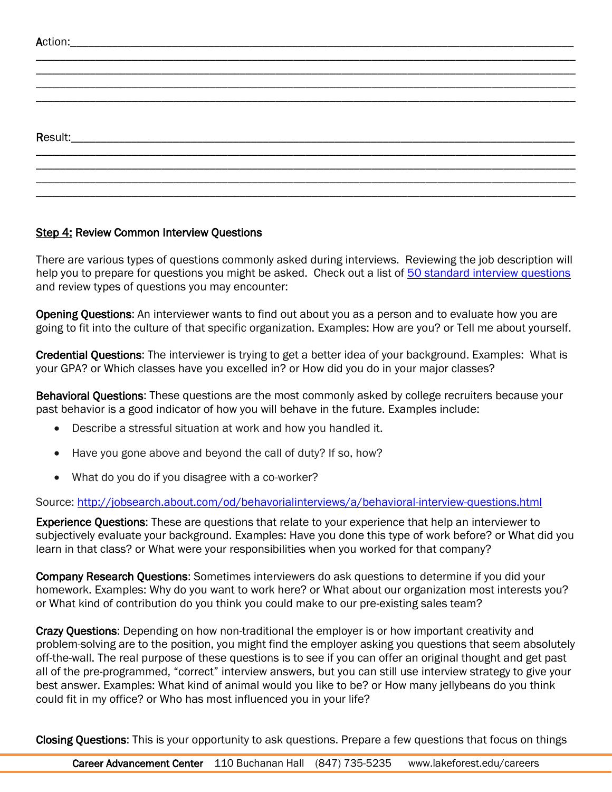## Step 4: Review Common Interview Questions

There are various types of questions commonly asked during interviews. Reviewing the job description will help you to prepare for questions you might be asked. Check out a list of [50 standard interview questions](https://collegegrad.com/jobsearch/Mastering-the-Interview/Fifty-Standard-Interview-Questions/) and review types of questions you may encounter:

Opening Questions: An interviewer wants to find out about you as a person and to evaluate how you are going to fit into the culture of that specific organization. Examples: How are you? or Tell me about yourself.

Credential Questions: The interviewer is trying to get a better idea of your background. Examples: What is your GPA? or Which classes have you excelled in? or How did you do in your major classes?

Behavioral Questions: These questions are the most commonly asked by college recruiters because your past behavior is a good indicator of how you will behave in the future. Examples include:

- Describe a stressful situation at work and how you handled it.
- Have you gone above and beyond the call of duty? If so, how?
- What do you do if you disagree with a co-worker?

Source:<http://jobsearch.about.com/od/behavorialinterviews/a/behavioral-interview-questions.html>

Experience Questions: These are questions that relate to your experience that help an interviewer to subjectively evaluate your background. Examples: Have you done this type of work before? or What did you learn in that class? or What were your responsibilities when you worked for that company?

Company Research Questions: Sometimes interviewers do ask questions to determine if you did your homework. Examples: Why do you want to work here? or What about our organization most interests you? or What kind of contribution do you think you could make to our pre-existing sales team?

Crazy Questions: Depending on how non-traditional the employer is or how important creativity and problem-solving are to the position, you might find the employer asking you questions that seem absolutely off-the-wall. The real purpose of these questions is to see if you can offer an original thought and get past all of the pre-programmed, "correct" interview answers, but you can still use interview strategy to give your best answer. Examples: What kind of animal would you like to be? or How many jellybeans do you think could fit in my office? or Who has most influenced you in your life?

Closing Questions: This is your opportunity to ask questions. Prepare a few questions that focus on things